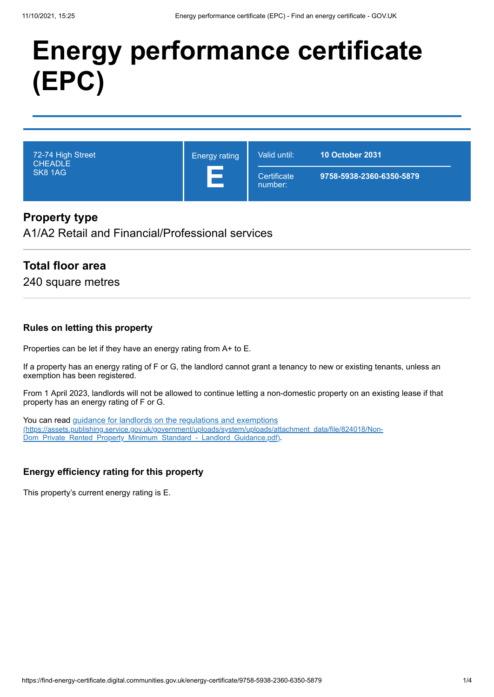# **Energy performance certificate (EPC)**

| 72-74 High Street<br><b>CHEADLE</b><br>SK8 1AG | <b>Energy rating</b> | Valid until:           | <b>10 October 2031</b>   |
|------------------------------------------------|----------------------|------------------------|--------------------------|
|                                                |                      | Certificate<br>number: | 9758-5938-2360-6350-5879 |

## **Property type**

A1/A2 Retail and Financial/Professional services

## **Total floor area**

240 square metres

#### **Rules on letting this property**

Properties can be let if they have an energy rating from A+ to E.

If a property has an energy rating of F or G, the landlord cannot grant a tenancy to new or existing tenants, unless an exemption has been registered.

From 1 April 2023, landlords will not be allowed to continue letting a non-domestic property on an existing lease if that property has an energy rating of F or G.

You can read guidance for landlords on the regulations and exemptions [\(https://assets.publishing.service.gov.uk/government/uploads/system/uploads/attachment\\_data/file/824018/Non-](https://assets.publishing.service.gov.uk/government/uploads/system/uploads/attachment_data/file/824018/Non-Dom_Private_Rented_Property_Minimum_Standard_-_Landlord_Guidance.pdf)Dom\_Private\_Rented\_Property\_Minimum\_Standard -\_Landlord\_Guidance.pdf).

#### **Energy efficiency rating for this property**

This property's current energy rating is E.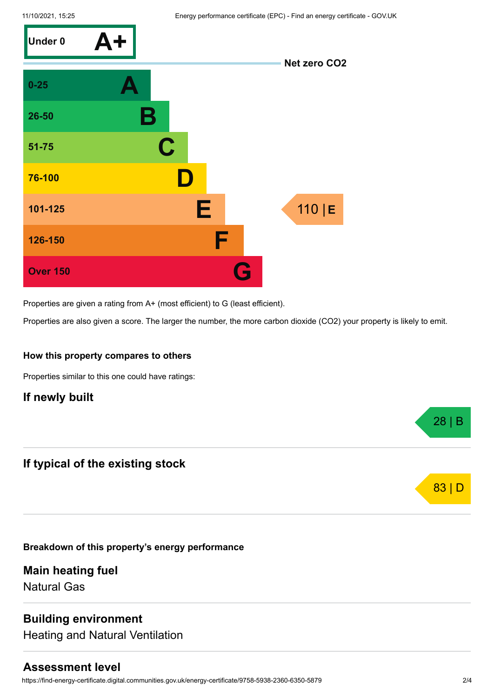

Properties are given a rating from A+ (most efficient) to G (least efficient).

Properties are also given a score. The larger the number, the more carbon dioxide (CO2) your property is likely to emit.

#### **How this property compares to others**

Properties similar to this one could have ratings:

## **If newly built**

## **If typical of the existing stock**

**Breakdown of this property's energy performance**

**Main heating fuel** Natural Gas

# **Building environment**

Heating and Natural Ventilation

#### **Assessment level**

https://find-energy-certificate.digital.communities.gov.uk/energy-certificate/9758-5938-2360-6350-5879 2/4

28 | B

83 | D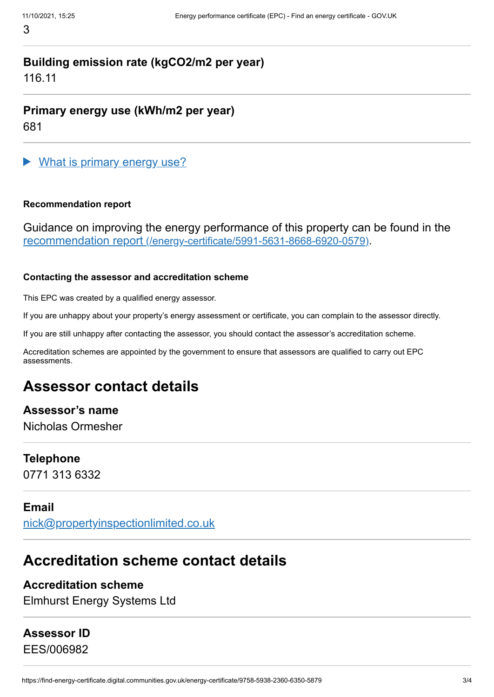# **Building emission rate (kgCO2/m2 per year)**

116.11

**Primary energy use (kWh/m2 per year)** 681

What is primary energy use?

#### **Recommendation report**

Guidance on improving the energy performance of this property can be found in the recommendation report [\(/energy-certificate/5991-5631-8668-6920-0579\)](https://find-energy-certificate.digital.communities.gov.uk/energy-certificate/5991-5631-8668-6920-0579).

#### **Contacting the assessor and accreditation scheme**

This EPC was created by a qualified energy assessor.

If you are unhappy about your property's energy assessment or certificate, you can complain to the assessor directly.

If you are still unhappy after contacting the assessor, you should contact the assessor's accreditation scheme.

Accreditation schemes are appointed by the government to ensure that assessors are qualified to carry out EPC assessments.

# **Assessor contact details**

# **Assessor's name**

Nicholas Ormesher

#### **Telephone**

0771 313 6332

# **Email**

[nick@propertyinspectionlimited.co.uk](mailto:nick@propertyinspectionlimited.co.uk)

# **Accreditation scheme contact details**

# **Accreditation scheme**

Elmhurst Energy Systems Ltd

# **Assessor ID**

EES/006982